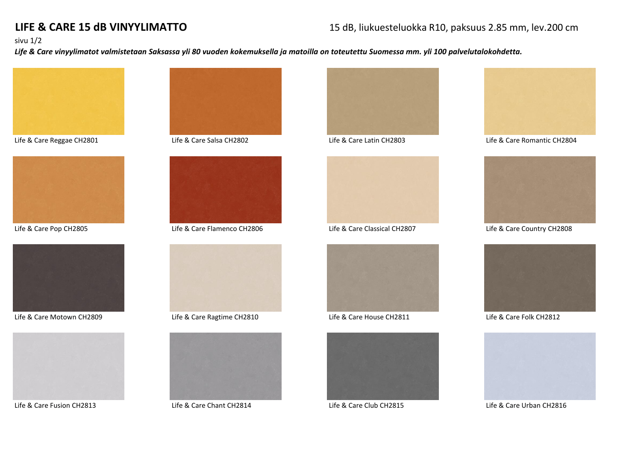# **LIFE & CARE 15 dB VINYYLIMATTO** 15 dB, liukuesteluokka R10, paksuus 2.85 mm, lev.200 cm

### sivu 1/2

*Life & Care vinyylimatot valmistetaan Saksassa yli 80 vuoden kokemuksella ja matoilla on toteutettu Suomessa mm. yli 100 palvelutalokohdetta.*







Life & Care Motown CH2809 Life & Care Ragtime CH2810 Life & Care House CH2811 Life & Care Folk CH2812











Life & Care Fusion CH2813 Life & Care Chant CH2814 Life & Care Club CH2815 Life & Care Urban CH2816











Life & Care Reggae CH2801 Life & Care Salsa CH2802 Life & Care Latin CH2803 Life & Care Romantic CH2804



Life & Care Pop CH2805 Life & Care Flamenco CH2806 Life & Care Classical CH2807 Life & Care Country CH2808